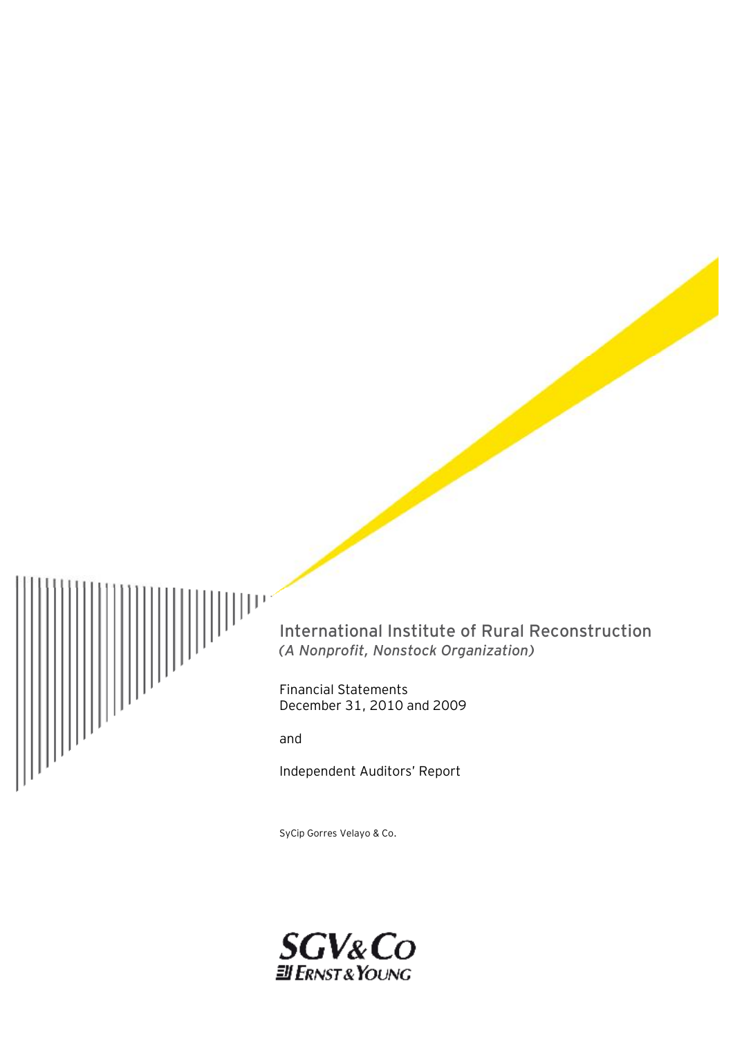

International Institute of Rural Reconstruction *(A Nonprofit, Nonstock Organization)*

Financial Statements December 31, 2010 and 2009

and

Independent Auditors' Report

SyCip Gorres Velayo & Co.

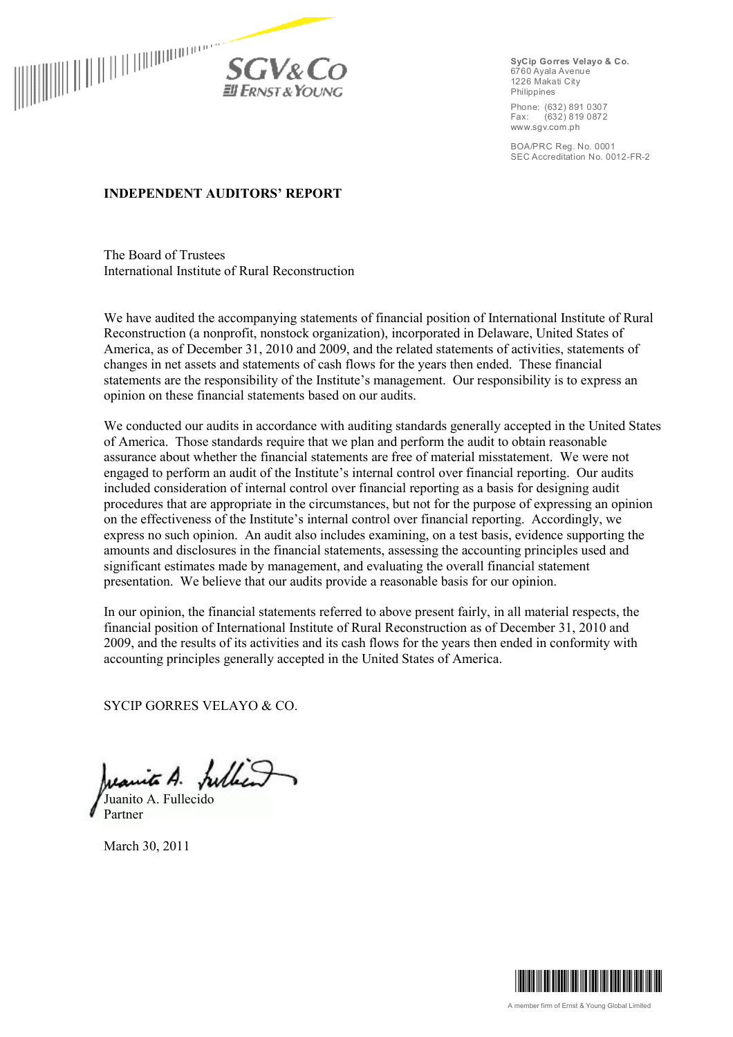

**SyCip Gorres Velayo & Co.** 6760 Ayala Avenue 1226 Makati City Philippines

Phone: (632) 891 0307<br>Fax: (632) 819 0872 Fax: (632) 819 0872 www.sgv.com.ph

BOA/PRC Reg. No. 0001 SEC Accreditation No. 0012-FR-2

### **INDEPENDENT AUDITORS' REPORT**

The Board of Trustees International Institute of Rural Reconstruction

We have audited the accompanying statements of financial position of International Institute of Rural Reconstruction (a nonprofit, nonstock organization), incorporated in Delaware, United States of America, as of December 31, 2010 and 2009, and the related statements of activities, statements of changes in net assets and statements of cash flows for the years then ended. These financial statements are the responsibility of the Institute's management. Our responsibility is to express an opinion on these financial statements based on our audits.

We conducted our audits in accordance with auditing standards generally accepted in the United States of America. Those standards require that we plan and perform the audit to obtain reasonable assurance about whether the financial statements are free of material misstatement. We were not engaged to perform an audit of the Institute's internal control over financial reporting. Our audits included consideration of internal control over financial reporting as a basis for designing audit procedures that are appropriate in the circumstances, but not for the purpose of expressing an opinion on the effectiveness of the Institute's internal control over financial reporting. Accordingly, we express no such opinion. An audit also includes examining, on a test basis, evidence supporting the amounts and disclosures in the financial statements, assessing the accounting principles used and significant estimates made by management, and evaluating the overall financial statement presentation. We believe that our audits provide a reasonable basis for our opinion.

In our opinion, the financial statements referred to above present fairly, in all material respects, the financial position of International Institute of Rural Reconstruction as of December 31, 2010 and 2009, and the results of its activities and its cash flows for the years then ended in conformity with accounting principles generally accepted in the United States of America.

SYCIP GORRES VELAYO & CO.

Juanite A. fulled Juanito A. Fullecido

Partner

March 30, 2011

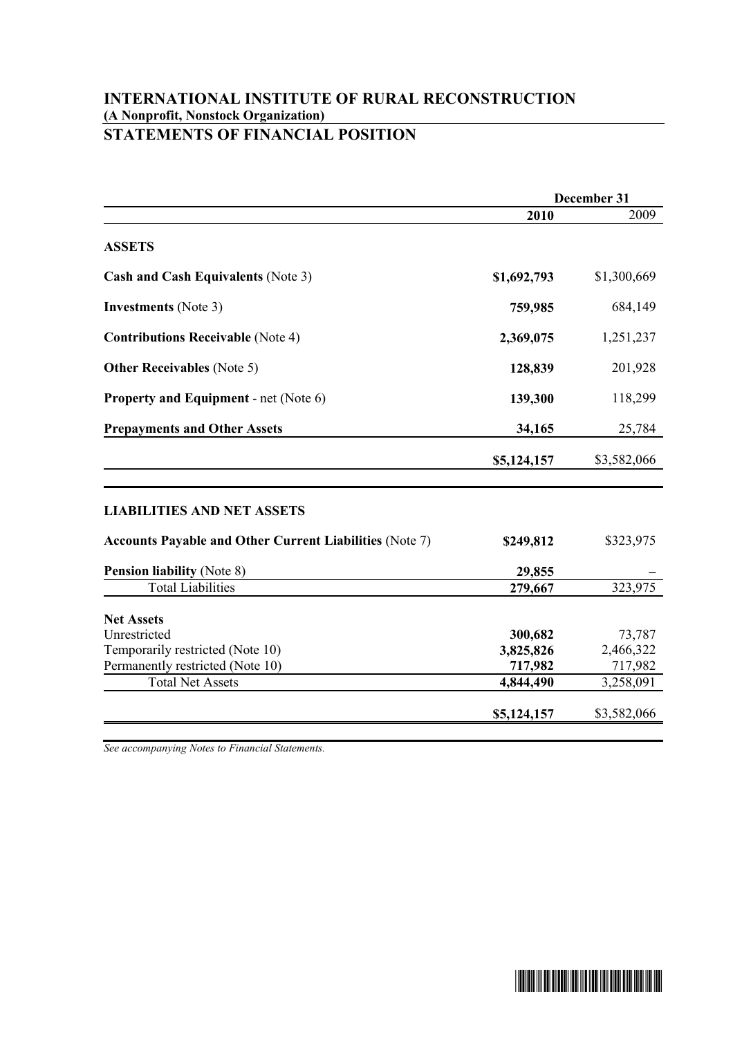## **INTERNATIONAL INSTITUTE OF RURAL RECONSTRUCTION (A Nonprofit, Nonstock Organization) STATEMENTS OF FINANCIAL POSITION**

|                                                                | December 31 |             |
|----------------------------------------------------------------|-------------|-------------|
|                                                                | 2010        | 2009        |
| <b>ASSETS</b>                                                  |             |             |
| <b>Cash and Cash Equivalents (Note 3)</b>                      | \$1,692,793 | \$1,300,669 |
| <b>Investments</b> (Note 3)                                    | 759,985     | 684,149     |
| <b>Contributions Receivable (Note 4)</b>                       | 2,369,075   | 1,251,237   |
| <b>Other Receivables</b> (Note 5)                              | 128,839     | 201,928     |
| <b>Property and Equipment - net (Note 6)</b>                   | 139,300     | 118,299     |
| <b>Prepayments and Other Assets</b>                            | 34,165      | 25,784      |
|                                                                | \$5,124,157 | \$3,582,066 |
| <b>LIABILITIES AND NET ASSETS</b>                              |             |             |
| <b>Accounts Payable and Other Current Liabilities (Note 7)</b> | \$249,812   | \$323,975   |
| <b>Pension liability (Note 8)</b>                              | 29,855      |             |
| <b>Total Liabilities</b>                                       | 279,667     | 323,975     |
| <b>Net Assets</b>                                              |             |             |
| Unrestricted                                                   | 300,682     | 73,787      |
| Temporarily restricted (Note 10)                               | 3,825,826   | 2,466,322   |
| Permanently restricted (Note 10)                               | 717,982     | 717,982     |
| <b>Total Net Assets</b>                                        | 4,844,490   | 3,258,091   |
|                                                                | \$5,124,157 | \$3,582,066 |

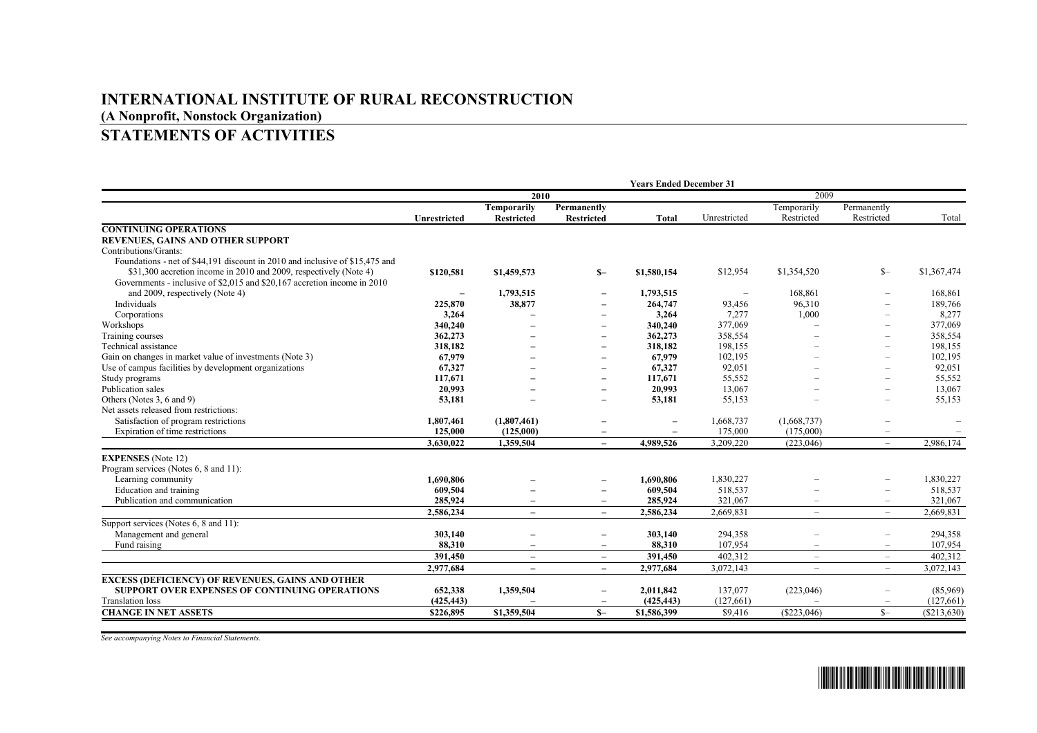# **INTERNATIONAL INSTITUTE OF RURAL RECONSTRUCTION (A Nonprofit, Nonstock Organization)**

# **STATEMENTS OF ACTIVITIES**

|                                                                              | <b>Years Ended December 31</b> |                          |                          |                          |              |                          |                          |             |
|------------------------------------------------------------------------------|--------------------------------|--------------------------|--------------------------|--------------------------|--------------|--------------------------|--------------------------|-------------|
|                                                                              | 2010                           |                          |                          |                          | 2009         |                          |                          |             |
|                                                                              |                                | <b>Temporarily</b>       | Permanently              |                          |              | Temporarily              | Permanently              |             |
|                                                                              | <b>Unrestricted</b>            | <b>Restricted</b>        | <b>Restricted</b>        | Total                    | Unrestricted | Restricted               | Restricted               | Total       |
| <b>CONTINUING OPERATIONS</b>                                                 |                                |                          |                          |                          |              |                          |                          |             |
| REVENUES, GAINS AND OTHER SUPPORT                                            |                                |                          |                          |                          |              |                          |                          |             |
| Contributions/Grants:                                                        |                                |                          |                          |                          |              |                          |                          |             |
| Foundations - net of \$44,191 discount in 2010 and inclusive of \$15,475 and |                                |                          |                          |                          |              |                          |                          |             |
| \$31,300 accretion income in 2010 and 2009, respectively (Note 4)            | \$120,581                      | \$1,459,573              | $S-$                     | \$1,580,154              | \$12,954     | \$1,354,520              | $S-$                     | \$1,367,474 |
| Governments - inclusive of \$2,015 and \$20,167 accretion income in 2010     |                                |                          |                          |                          |              |                          |                          |             |
| and 2009, respectively (Note 4)                                              | $\overline{\phantom{0}}$       | 1,793,515                | $\overline{\phantom{0}}$ | 1,793,515                |              | 168,861                  |                          | 168,861     |
| Individuals                                                                  | 225,870                        | 38,877                   | $\overline{\phantom{a}}$ | 264,747                  | 93,456       | 96.310                   |                          | 189,766     |
| Corporations                                                                 | 3,264                          |                          | $\overline{\phantom{0}}$ | 3,264                    | 7,277        | 1,000                    |                          | 8,277       |
| Workshops                                                                    | 340,240                        |                          | $\overline{\phantom{0}}$ | 340,240                  | 377,069      |                          | $\equiv$                 | 377,069     |
| Training courses                                                             | 362,273                        |                          | $\overline{\phantom{0}}$ | 362,273                  | 358,554      |                          | $\overline{\phantom{0}}$ | 358,554     |
| Technical assistance                                                         | 318.182                        |                          | $\overline{\phantom{0}}$ | 318,182                  | 198,155      |                          | $\equiv$                 | 198,155     |
| Gain on changes in market value of investments (Note 3)                      | 67,979                         |                          | $\overline{\phantom{m}}$ | 67,979                   | 102,195      |                          | $\overline{\phantom{0}}$ | 102,195     |
| Use of campus facilities by development organizations                        | 67,327                         |                          | $\overline{\phantom{0}}$ | 67,327                   | 92,051       |                          |                          | 92,051      |
| Study programs                                                               | 117,671                        |                          | $\overline{\phantom{0}}$ | 117,671                  | 55,552       |                          | $\overline{\phantom{0}}$ | 55,552      |
| Publication sales                                                            | 20,993                         |                          | $\overline{\phantom{0}}$ | 20,993                   | 13.067       |                          |                          | 13,067      |
| Others (Notes 3, 6 and 9)                                                    | 53,181                         | $\overline{\phantom{0}}$ | $\qquad \qquad -$        | 53,181                   | 55,153       |                          | $\overline{\phantom{0}}$ | 55,153      |
| Net assets released from restrictions:                                       |                                |                          |                          |                          |              |                          |                          |             |
| Satisfaction of program restrictions                                         | 1,807,461                      | (1,807,461)              | $\overline{\phantom{0}}$ | $\overline{\phantom{0}}$ | 1,668,737    | (1,668,737)              | -                        |             |
| Expiration of time restrictions                                              | 125,000                        | (125,000)                | $\overline{\phantom{0}}$ |                          | 175,000      | (175,000)                | $\overline{\phantom{0}}$ |             |
|                                                                              | 3,630,022                      | 1,359,504                | $-$                      | 4,989,526                | 3,209,220    | (223,046)                | $\overline{\phantom{0}}$ | 2,986,174   |
| <b>EXPENSES</b> (Note 12)                                                    |                                |                          |                          |                          |              |                          |                          |             |
| Program services (Notes 6, 8 and 11):                                        |                                |                          |                          |                          |              |                          |                          |             |
| Learning community                                                           | 1.690.806                      |                          | $\overline{\phantom{0}}$ | 1.690.806                | 1,830,227    |                          |                          | 1,830,227   |
| Education and training                                                       | 609.504                        |                          | $\overline{\phantom{0}}$ | 609,504                  | 518,537      |                          | $\equiv$                 | 518,537     |
| Publication and communication                                                | 285,924                        | $\overline{\phantom{0}}$ | $\overline{\phantom{0}}$ | 285,924                  | 321,067      |                          | $-$                      | 321,067     |
|                                                                              | 2,586,234                      | $\overline{\phantom{0}}$ | $\overline{\phantom{a}}$ | 2,586,234                | 2,669,831    | $\overline{\phantom{m}}$ | $\overline{\phantom{0}}$ | 2,669,831   |
| Support services (Notes 6, 8 and 11):                                        |                                |                          |                          |                          |              |                          |                          |             |
| Management and general                                                       | 303,140                        |                          | $\overline{\phantom{0}}$ | 303,140                  | 294,358      |                          | -                        | 294,358     |
| Fund raising                                                                 | 88,310                         |                          | $\qquad \qquad -$        | 88,310                   | 107,954      |                          | $\overline{\phantom{0}}$ | 107,954     |
|                                                                              | 391,450                        | $\qquad \qquad -$        | $\overline{\phantom{m}}$ | 391,450                  | 402,312      | $\overline{\phantom{0}}$ | $\overline{\phantom{0}}$ | 402,312     |
|                                                                              | 2,977,684                      | $\overline{\phantom{m}}$ | $\qquad \qquad -$        | 2,977,684                | 3,072,143    | $\overline{\phantom{0}}$ | $-$                      | 3,072,143   |
| <b>EXCESS (DEFICIENCY) OF REVENUES, GAINS AND OTHER</b>                      |                                |                          |                          |                          |              |                          |                          |             |
| <b>SUPPORT OVER EXPENSES OF CONTINUING OPERATIONS</b>                        | 652,338                        | 1,359,504                | $\qquad \qquad -$        | 2,011,842                | 137,077      | (223,046)                |                          | (85,969)    |
| <b>Translation</b> loss                                                      | (425, 443)                     |                          |                          | (425, 443)               | (127,661)    |                          |                          | (127,661)   |
| <b>CHANGE IN NET ASSETS</b>                                                  | \$226,895                      | \$1,359,504              | $S-$                     | \$1,586,399              | \$9,416      | (S223, 046)              | $S-$                     | (S213, 630) |
|                                                                              |                                |                          |                          |                          |              |                          |                          |             |

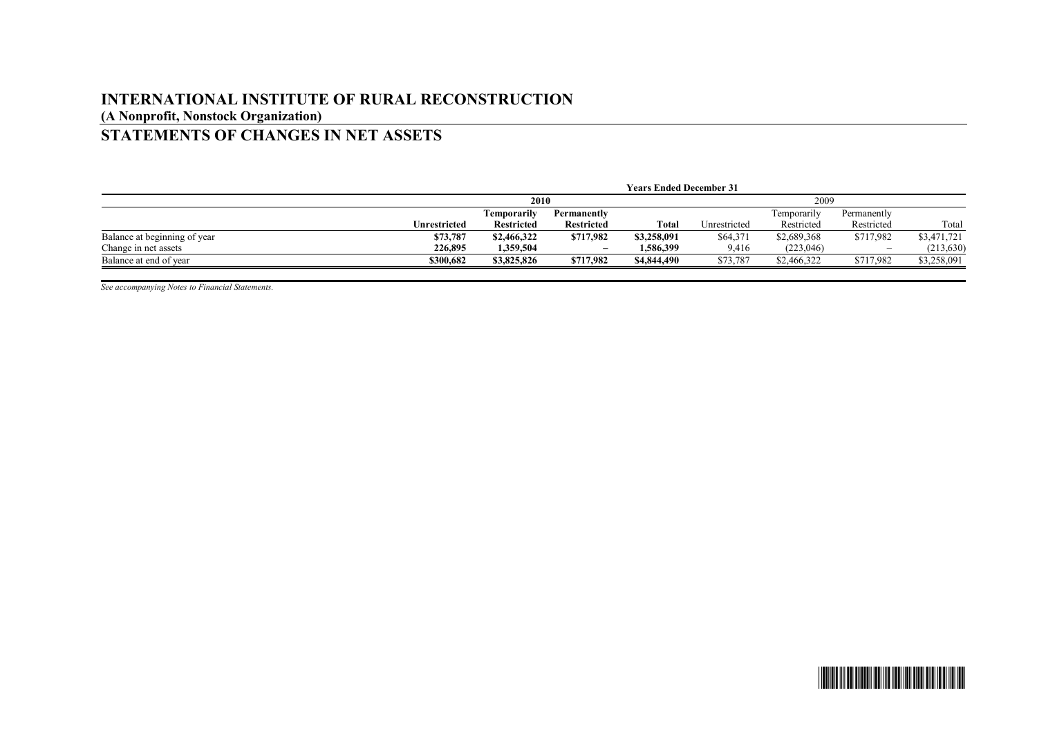## **INTERNATIONAL INSTITUTE OF RURAL RECONSTRUCTION (A Nonprofit, Nonstock Organization) STATEMENTS OF CHANGES IN NET ASSETS**

|                              | <b>Years Ended December 31</b> |                   |                   |             |              |              |             |             |
|------------------------------|--------------------------------|-------------------|-------------------|-------------|--------------|--------------|-------------|-------------|
|                              |                                | 2010              |                   |             |              | 2009         |             |             |
|                              |                                | Temporarilv       | Permanently       |             |              | l'emporarily | Permanently |             |
|                              | Unrestricted                   | <b>Restricted</b> | <b>Restricted</b> | Total       | Unrestricted | Restricted   | Restricted  | Total       |
| Balance at beginning of year | \$73,787                       | \$2,466,322       | \$717,982         | \$3,258,091 | \$64,371     | \$2,689,368  | \$717,982   | \$3,471,721 |
| Change in net assets         | 226,895                        | 1.359.504         | -                 | 1.586.399   | 9,416        | (223, 046)   | -           | (213, 630)  |
| Balance at end of year       | \$300,682                      | \$3,825,826       | \$717,982         | \$4,844,490 | \$73,787     | \$2,466,322  | \$717,982   | \$3,258,091 |

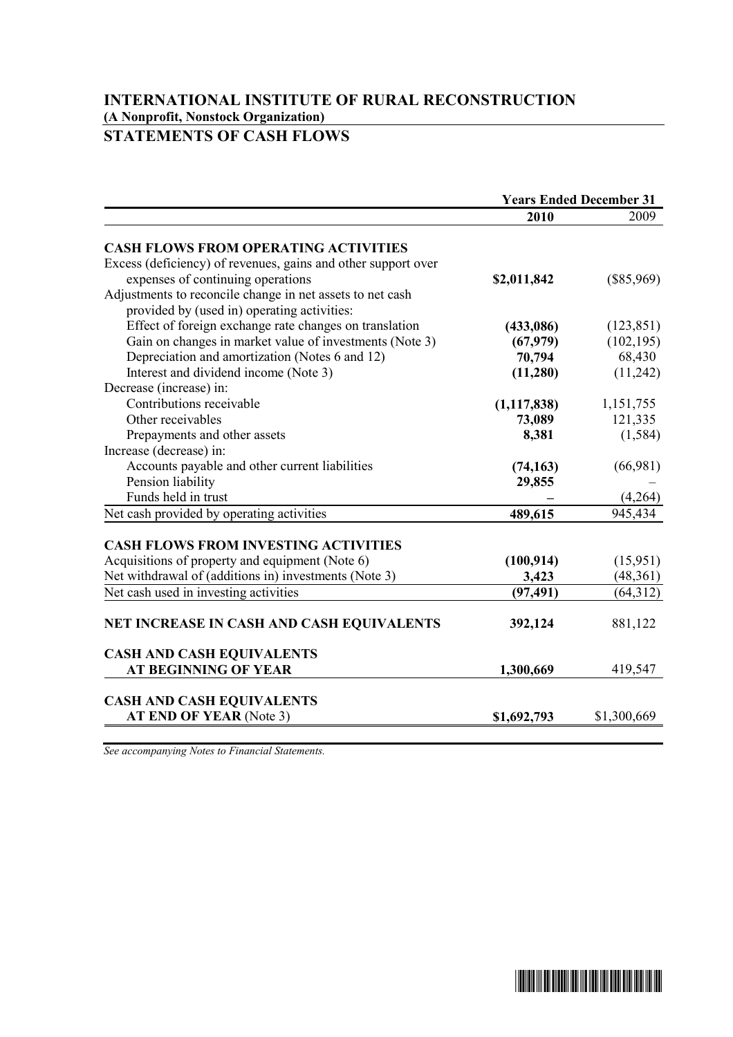## **INTERNATIONAL INSTITUTE OF RURAL RECONSTRUCTION (A Nonprofit, Nonstock Organization) STATEMENTS OF CASH FLOWS**

|                                                                                                          | <b>Years Ended December 31</b> |              |
|----------------------------------------------------------------------------------------------------------|--------------------------------|--------------|
|                                                                                                          | 2010                           | 2009         |
| <b>CASH FLOWS FROM OPERATING ACTIVITIES</b>                                                              |                                |              |
| Excess (deficiency) of revenues, gains and other support over                                            |                                |              |
| expenses of continuing operations                                                                        | \$2,011,842                    | $(\$85,969)$ |
| Adjustments to reconcile change in net assets to net cash                                                |                                |              |
| provided by (used in) operating activities:                                                              |                                |              |
| Effect of foreign exchange rate changes on translation                                                   | (433,086)                      | (123, 851)   |
| Gain on changes in market value of investments (Note 3)                                                  | (67,979)                       | (102, 195)   |
| Depreciation and amortization (Notes 6 and 12)                                                           | 70,794                         | 68,430       |
| Interest and dividend income (Note 3)                                                                    | (11,280)                       | (11,242)     |
| Decrease (increase) in:                                                                                  |                                |              |
| Contributions receivable                                                                                 | (1, 117, 838)                  | 1,151,755    |
| Other receivables                                                                                        | 73,089                         | 121,335      |
| Prepayments and other assets                                                                             | 8,381                          | (1, 584)     |
| Increase (decrease) in:                                                                                  |                                |              |
| Accounts payable and other current liabilities                                                           | (74, 163)                      | (66,981)     |
| Pension liability                                                                                        | 29,855                         |              |
| Funds held in trust                                                                                      |                                | (4,264)      |
| Net cash provided by operating activities                                                                | 489,615                        | 945,434      |
|                                                                                                          |                                |              |
| <b>CASH FLOWS FROM INVESTING ACTIVITIES</b>                                                              |                                |              |
| Acquisitions of property and equipment (Note 6)<br>Net withdrawal of (additions in) investments (Note 3) | (100, 914)                     | (15,951)     |
|                                                                                                          | 3,423<br>(97, 491)             | (48,361)     |
| Net cash used in investing activities                                                                    |                                | (64, 312)    |
| NET INCREASE IN CASH AND CASH EQUIVALENTS                                                                | 392,124                        | 881,122      |
|                                                                                                          |                                |              |
| <b>CASH AND CASH EQUIVALENTS</b>                                                                         |                                |              |
| <b>AT BEGINNING OF YEAR</b>                                                                              | 1,300,669                      | 419,547      |
|                                                                                                          |                                |              |
| <b>CASH AND CASH EQUIVALENTS</b>                                                                         |                                |              |
| AT END OF YEAR (Note 3)                                                                                  | \$1,692,793                    | \$1,300,669  |

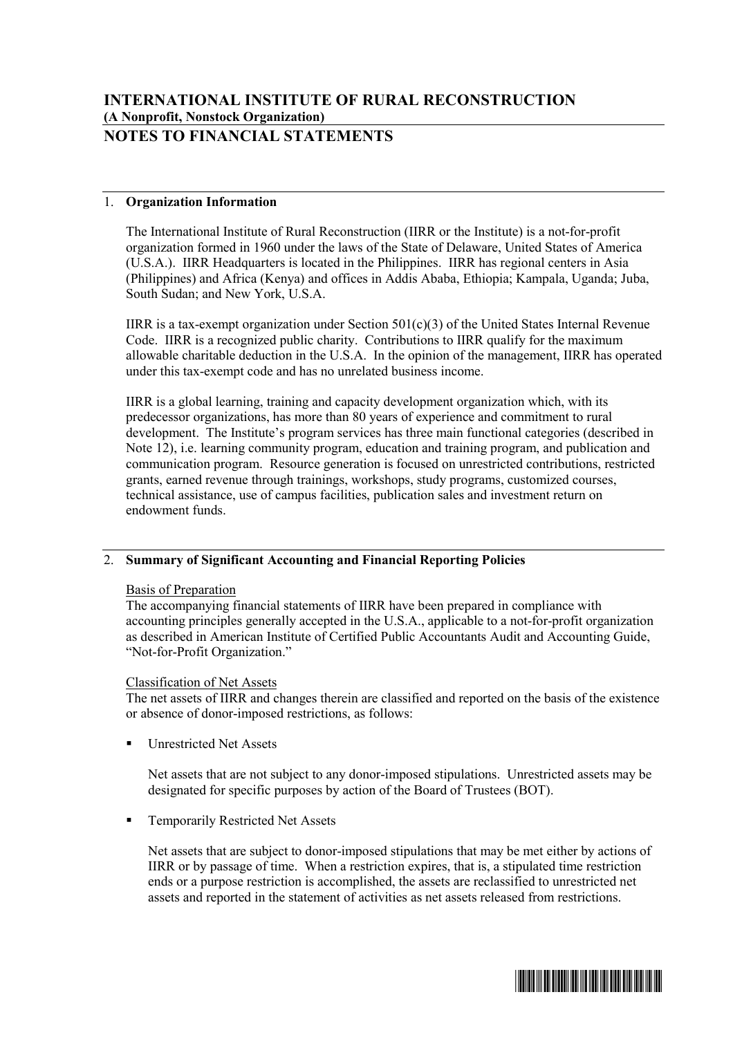# **NOTES TO FINANCIAL STATEMENTS**

## 1. **Organization Information**

The International Institute of Rural Reconstruction (IIRR or the Institute) is a not-for-profit organization formed in 1960 under the laws of the State of Delaware, United States of America (U.S.A.). IIRR Headquarters is located in the Philippines. IIRR has regional centers in Asia (Philippines) and Africa (Kenya) and offices in Addis Ababa, Ethiopia; Kampala, Uganda; Juba, South Sudan; and New York, U.S.A.

IIRR is a tax-exempt organization under Section  $501(c)(3)$  of the United States Internal Revenue Code. IIRR is a recognized public charity. Contributions to IIRR qualify for the maximum allowable charitable deduction in the U.S.A. In the opinion of the management, IIRR has operated under this tax-exempt code and has no unrelated business income.

IIRR is a global learning, training and capacity development organization which, with its predecessor organizations, has more than 80 years of experience and commitment to rural development. The Institute's program services has three main functional categories (described in Note 12), i.e. learning community program, education and training program, and publication and communication program. Resource generation is focused on unrestricted contributions, restricted grants, earned revenue through trainings, workshops, study programs, customized courses, technical assistance, use of campus facilities, publication sales and investment return on endowment funds.

## 2. **Summary of Significant Accounting and Financial Reporting Policies**

#### Basis of Preparation

The accompanying financial statements of IIRR have been prepared in compliance with accounting principles generally accepted in the U.S.A., applicable to a not-for-profit organization as described in American Institute of Certified Public Accountants Audit and Accounting Guide, "Not-for-Profit Organization."

#### Classification of Net Assets

The net assets of IIRR and changes therein are classified and reported on the basis of the existence or absence of donor-imposed restrictions, as follows:

ß Unrestricted Net Assets

Net assets that are not subject to any donor-imposed stipulations. Unrestricted assets may be designated for specific purposes by action of the Board of Trustees (BOT).

ß Temporarily Restricted Net Assets

Net assets that are subject to donor-imposed stipulations that may be met either by actions of IIRR or by passage of time. When a restriction expires, that is, a stipulated time restriction ends or a purpose restriction is accomplished, the assets are reclassified to unrestricted net assets and reported in the statement of activities as net assets released from restrictions.

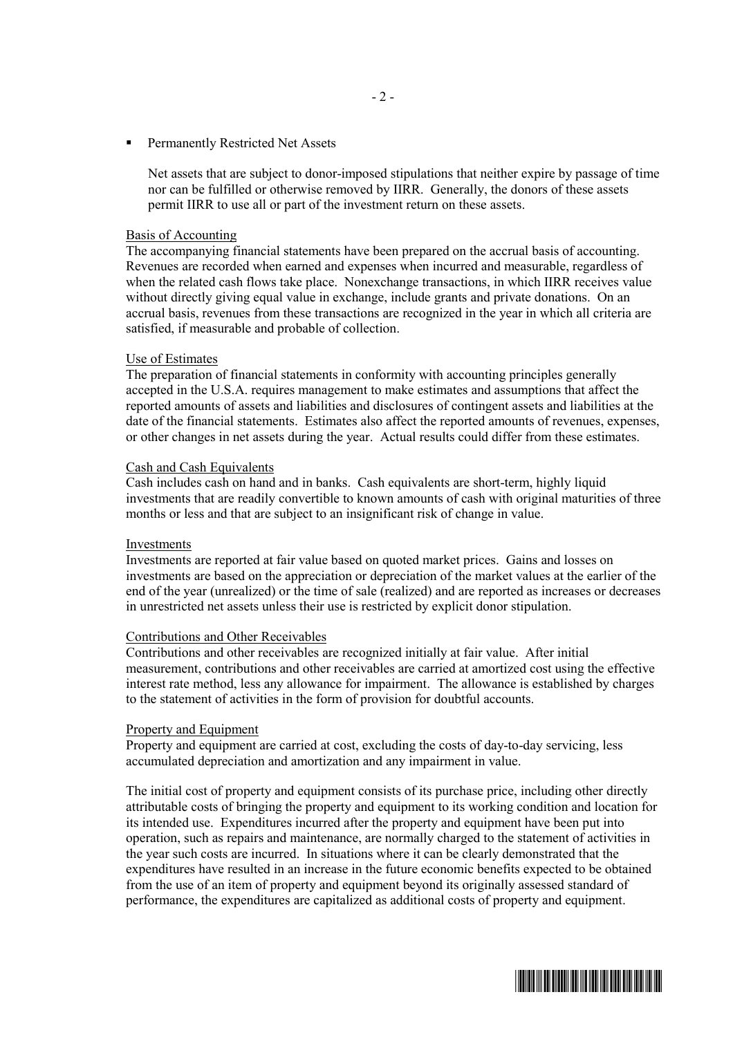ß Permanently Restricted Net Assets

Net assets that are subject to donor-imposed stipulations that neither expire by passage of time nor can be fulfilled or otherwise removed by IIRR. Generally, the donors of these assets permit IIRR to use all or part of the investment return on these assets.

#### Basis of Accounting

The accompanying financial statements have been prepared on the accrual basis of accounting. Revenues are recorded when earned and expenses when incurred and measurable, regardless of when the related cash flows take place. Nonexchange transactions, in which IIRR receives value without directly giving equal value in exchange, include grants and private donations. On an accrual basis, revenues from these transactions are recognized in the year in which all criteria are satisfied, if measurable and probable of collection.

#### Use of Estimates

The preparation of financial statements in conformity with accounting principles generally accepted in the U.S.A. requires management to make estimates and assumptions that affect the reported amounts of assets and liabilities and disclosures of contingent assets and liabilities at the date of the financial statements. Estimates also affect the reported amounts of revenues, expenses, or other changes in net assets during the year. Actual results could differ from these estimates.

#### Cash and Cash Equivalents

Cash includes cash on hand and in banks. Cash equivalents are short-term, highly liquid investments that are readily convertible to known amounts of cash with original maturities of three months or less and that are subject to an insignificant risk of change in value.

#### Investments

Investments are reported at fair value based on quoted market prices. Gains and losses on investments are based on the appreciation or depreciation of the market values at the earlier of the end of the year (unrealized) or the time of sale (realized) and are reported as increases or decreases in unrestricted net assets unless their use is restricted by explicit donor stipulation.

#### Contributions and Other Receivables

Contributions and other receivables are recognized initially at fair value. After initial measurement, contributions and other receivables are carried at amortized cost using the effective interest rate method, less any allowance for impairment. The allowance is established by charges to the statement of activities in the form of provision for doubtful accounts.

#### Property and Equipment

Property and equipment are carried at cost, excluding the costs of day-to-day servicing, less accumulated depreciation and amortization and any impairment in value.

The initial cost of property and equipment consists of its purchase price, including other directly attributable costs of bringing the property and equipment to its working condition and location for its intended use. Expenditures incurred after the property and equipment have been put into operation, such as repairs and maintenance, are normally charged to the statement of activities in the year such costs are incurred. In situations where it can be clearly demonstrated that the expenditures have resulted in an increase in the future economic benefits expected to be obtained from the use of an item of property and equipment beyond its originally assessed standard of performance, the expenditures are capitalized as additional costs of property and equipment.

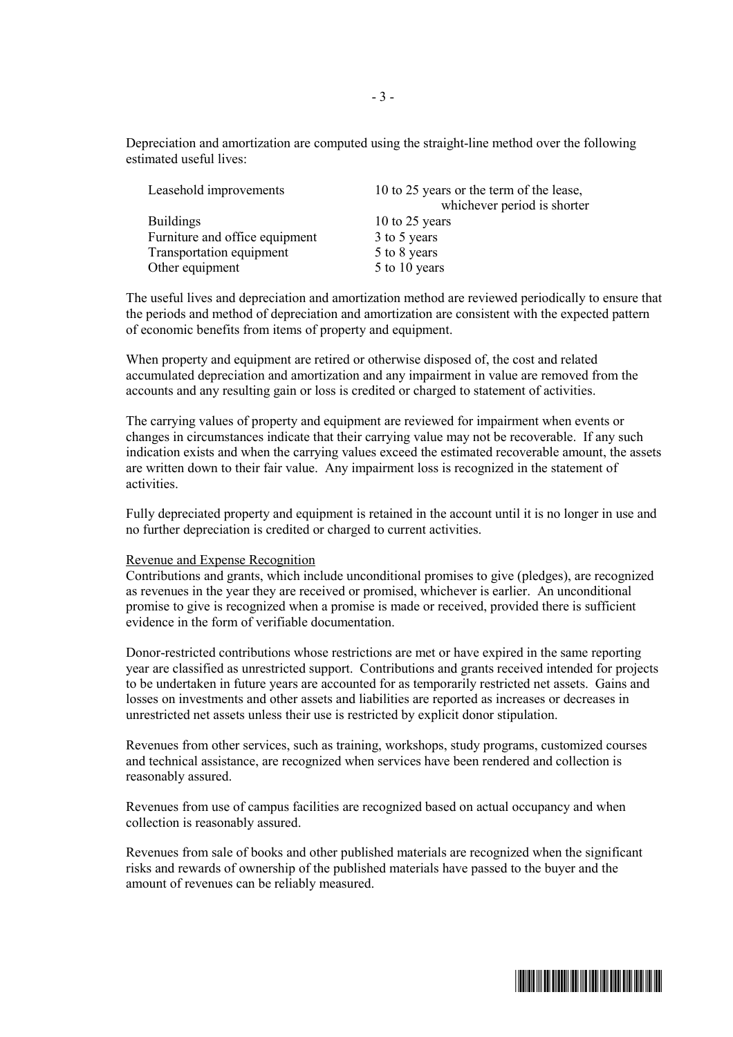Depreciation and amortization are computed using the straight-line method over the following estimated useful lives:

| Leasehold improvements         | 10 to 25 years or the term of the lease,<br>whichever period is shorter |
|--------------------------------|-------------------------------------------------------------------------|
| <b>Buildings</b>               | 10 to 25 years                                                          |
|                                |                                                                         |
| Furniture and office equipment | 3 to 5 years                                                            |
| Transportation equipment       | 5 to 8 years                                                            |
| Other equipment                | 5 to 10 years                                                           |
|                                |                                                                         |

The useful lives and depreciation and amortization method are reviewed periodically to ensure that the periods and method of depreciation and amortization are consistent with the expected pattern of economic benefits from items of property and equipment.

When property and equipment are retired or otherwise disposed of, the cost and related accumulated depreciation and amortization and any impairment in value are removed from the accounts and any resulting gain or loss is credited or charged to statement of activities.

The carrying values of property and equipment are reviewed for impairment when events or changes in circumstances indicate that their carrying value may not be recoverable. If any such indication exists and when the carrying values exceed the estimated recoverable amount, the assets are written down to their fair value. Any impairment loss is recognized in the statement of activities.

Fully depreciated property and equipment is retained in the account until it is no longer in use and no further depreciation is credited or charged to current activities.

#### Revenue and Expense Recognition

Contributions and grants, which include unconditional promises to give (pledges), are recognized as revenues in the year they are received or promised, whichever is earlier. An unconditional promise to give is recognized when a promise is made or received, provided there is sufficient evidence in the form of verifiable documentation.

Donor-restricted contributions whose restrictions are met or have expired in the same reporting year are classified as unrestricted support. Contributions and grants received intended for projects to be undertaken in future years are accounted for as temporarily restricted net assets. Gains and losses on investments and other assets and liabilities are reported as increases or decreases in unrestricted net assets unless their use is restricted by explicit donor stipulation.

Revenues from other services, such as training, workshops, study programs, customized courses and technical assistance, are recognized when services have been rendered and collection is reasonably assured.

Revenues from use of campus facilities are recognized based on actual occupancy and when collection is reasonably assured.

Revenues from sale of books and other published materials are recognized when the significant risks and rewards of ownership of the published materials have passed to the buyer and the amount of revenues can be reliably measured.

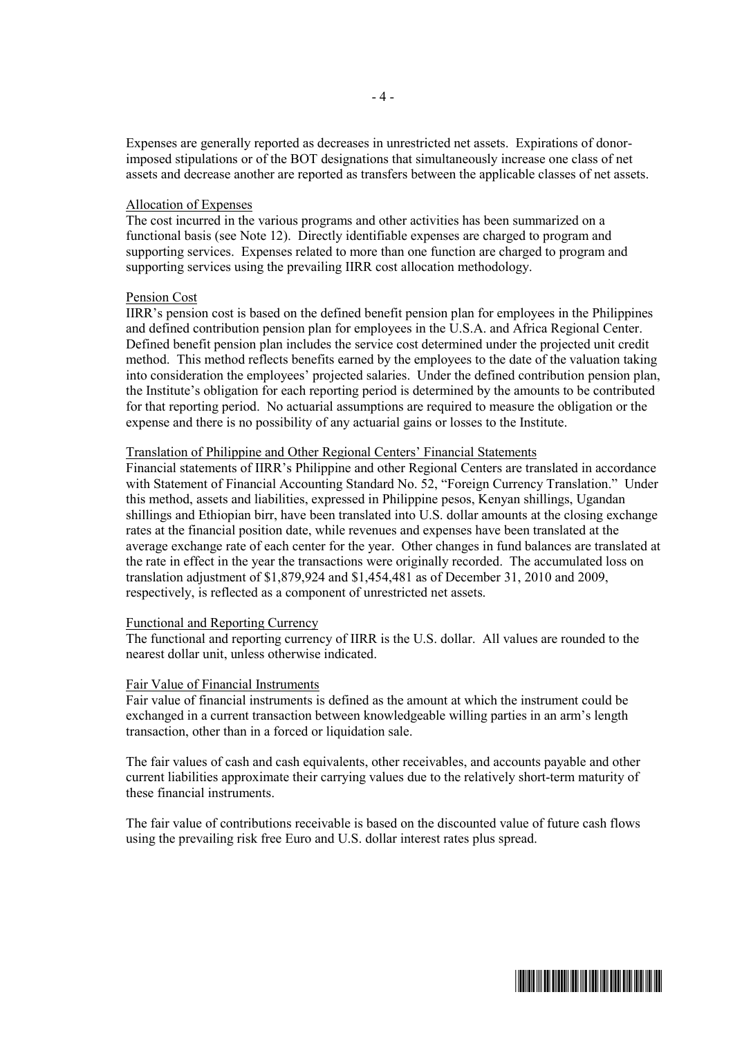Expenses are generally reported as decreases in unrestricted net assets. Expirations of donorimposed stipulations or of the BOT designations that simultaneously increase one class of net assets and decrease another are reported as transfers between the applicable classes of net assets.

#### Allocation of Expenses

The cost incurred in the various programs and other activities has been summarized on a functional basis (see Note 12). Directly identifiable expenses are charged to program and supporting services. Expenses related to more than one function are charged to program and supporting services using the prevailing IIRR cost allocation methodology.

#### Pension Cost

IIRR's pension cost is based on the defined benefit pension plan for employees in the Philippines and defined contribution pension plan for employees in the U.S.A. and Africa Regional Center. Defined benefit pension plan includes the service cost determined under the projected unit credit method. This method reflects benefits earned by the employees to the date of the valuation taking into consideration the employees' projected salaries. Under the defined contribution pension plan, the Institute's obligation for each reporting period is determined by the amounts to be contributed for that reporting period. No actuarial assumptions are required to measure the obligation or the expense and there is no possibility of any actuarial gains or losses to the Institute.

#### Translation of Philippine and Other Regional Centers' Financial Statements

Financial statements of IIRR's Philippine and other Regional Centers are translated in accordance with Statement of Financial Accounting Standard No. 52, "Foreign Currency Translation." Under this method, assets and liabilities, expressed in Philippine pesos, Kenyan shillings, Ugandan shillings and Ethiopian birr, have been translated into U.S. dollar amounts at the closing exchange rates at the financial position date, while revenues and expenses have been translated at the average exchange rate of each center for the year. Other changes in fund balances are translated at the rate in effect in the year the transactions were originally recorded. The accumulated loss on translation adjustment of \$1,879,924 and \$1,454,481 as of December 31, 2010 and 2009, respectively, is reflected as a component of unrestricted net assets.

#### Functional and Reporting Currency

The functional and reporting currency of IIRR is the U.S. dollar. All values are rounded to the nearest dollar unit, unless otherwise indicated.

#### Fair Value of Financial Instruments

Fair value of financial instruments is defined as the amount at which the instrument could be exchanged in a current transaction between knowledgeable willing parties in an arm's length transaction, other than in a forced or liquidation sale.

The fair values of cash and cash equivalents, other receivables, and accounts payable and other current liabilities approximate their carrying values due to the relatively short-term maturity of these financial instruments.

The fair value of contributions receivable is based on the discounted value of future cash flows using the prevailing risk free Euro and U.S. dollar interest rates plus spread.

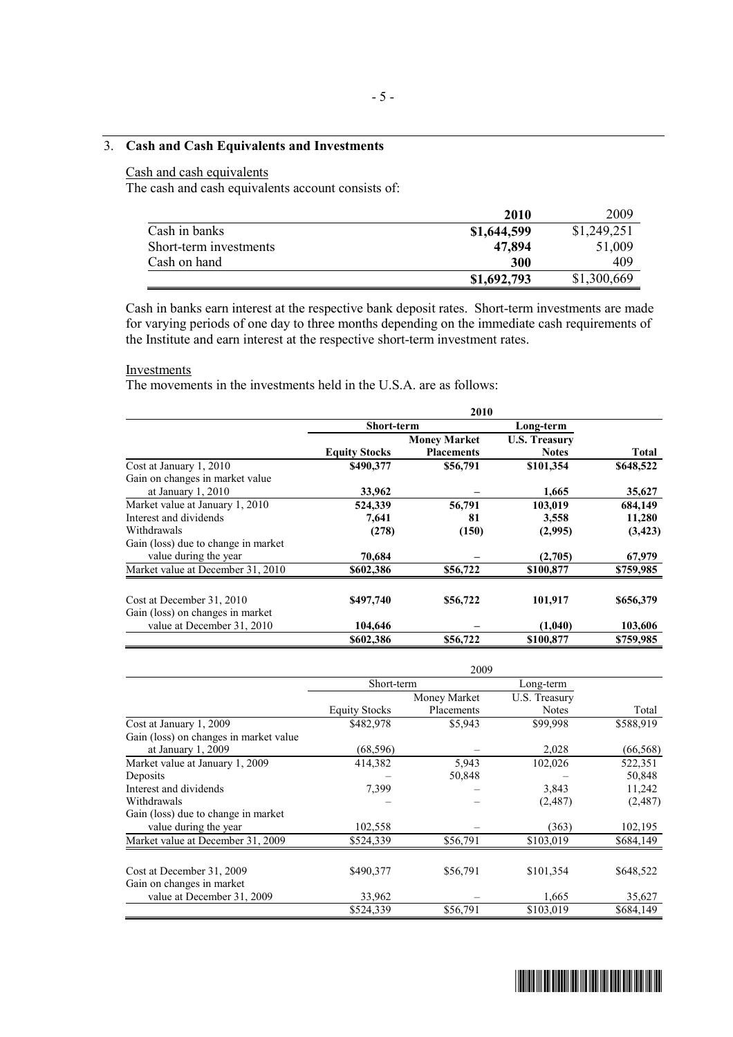## 3. **Cash and Cash Equivalents and Investments**

## Cash and cash equivalents

The cash and cash equivalents account consists of:

|                        | 2010        | 2009        |
|------------------------|-------------|-------------|
| Cash in banks          | \$1,644,599 | \$1,249,251 |
| Short-term investments | 47,894      | 51,009      |
| Cash on hand           | 300         | 409         |
|                        | \$1,692,793 | \$1,300,669 |

Cash in banks earn interest at the respective bank deposit rates. Short-term investments are made for varying periods of one day to three months depending on the immediate cash requirements of the Institute and earn interest at the respective short-term investment rates.

#### **Investments**

The movements in the investments held in the U.S.A. are as follows:

|                                     | <b>Short-term</b>    |                     | Long-term            |           |
|-------------------------------------|----------------------|---------------------|----------------------|-----------|
|                                     |                      | <b>Money Market</b> | <b>U.S. Treasury</b> |           |
|                                     | <b>Equity Stocks</b> | <b>Placements</b>   | <b>Notes</b>         | Total     |
| Cost at January 1, 2010             | \$490,377            | \$56,791            | \$101,354            | \$648,522 |
| Gain on changes in market value     |                      |                     |                      |           |
| at January $1, 2010$                | 33,962               |                     | 1,665                | 35,627    |
| Market value at January 1, 2010     | 524,339              | 56,791              | 103,019              | 684,149   |
| Interest and dividends              | 7,641                | 81                  | 3,558                | 11,280    |
| Withdrawals                         | (278)                | (150)               | (2,995)              | (3, 423)  |
| Gain (loss) due to change in market |                      |                     |                      |           |
| value during the year               | 70.684               |                     | (2,705)              | 67,979    |
| Market value at December 31, 2010   | \$602,386            | \$56,722            | \$100,877            | \$759,985 |
|                                     |                      |                     |                      |           |
| Cost at December 31, 2010           | \$497,740            | \$56,722            | 101,917              | \$656,379 |
| Gain (loss) on changes in market    |                      |                     |                      |           |
| value at December 31, 2010          | 104,646              |                     | (1,040)              | 103,606   |
|                                     | \$602,386            | \$56,722            | \$100,877            | \$759,985 |

|                                        | Short-term           |              | Long-term     |           |
|----------------------------------------|----------------------|--------------|---------------|-----------|
|                                        |                      | Money Market | U.S. Treasury |           |
|                                        | <b>Equity Stocks</b> | Placements   | <b>Notes</b>  | Total     |
| Cost at January 1, 2009                | \$482,978            | \$5,943      | \$99,998      | \$588,919 |
| Gain (loss) on changes in market value |                      |              |               |           |
| at January $1, 2009$                   | (68, 596)            |              | 2,028         | (66, 568) |
| Market value at January 1, 2009        | 414,382              | 5,943        | 102,026       | 522,351   |
| Deposits                               |                      | 50,848       |               | 50,848    |
| Interest and dividends                 | 7,399                |              | 3,843         | 11,242    |
| Withdrawals                            |                      |              | (2,487)       | (2,487)   |
| Gain (loss) due to change in market    |                      |              |               |           |
| value during the year                  | 102,558              |              | (363)         | 102,195   |
| Market value at December 31, 2009      | \$524,339            | \$56,791     | \$103,019     | \$684,149 |
| Cost at December 31, 2009              | \$490,377            | \$56,791     | \$101,354     | \$648,522 |
| Gain on changes in market              |                      |              |               |           |
| value at December 31, 2009             | 33,962               |              | 1,665         | 35,627    |
|                                        | \$524,339            | \$56,791     | \$103,019     | \$684,149 |

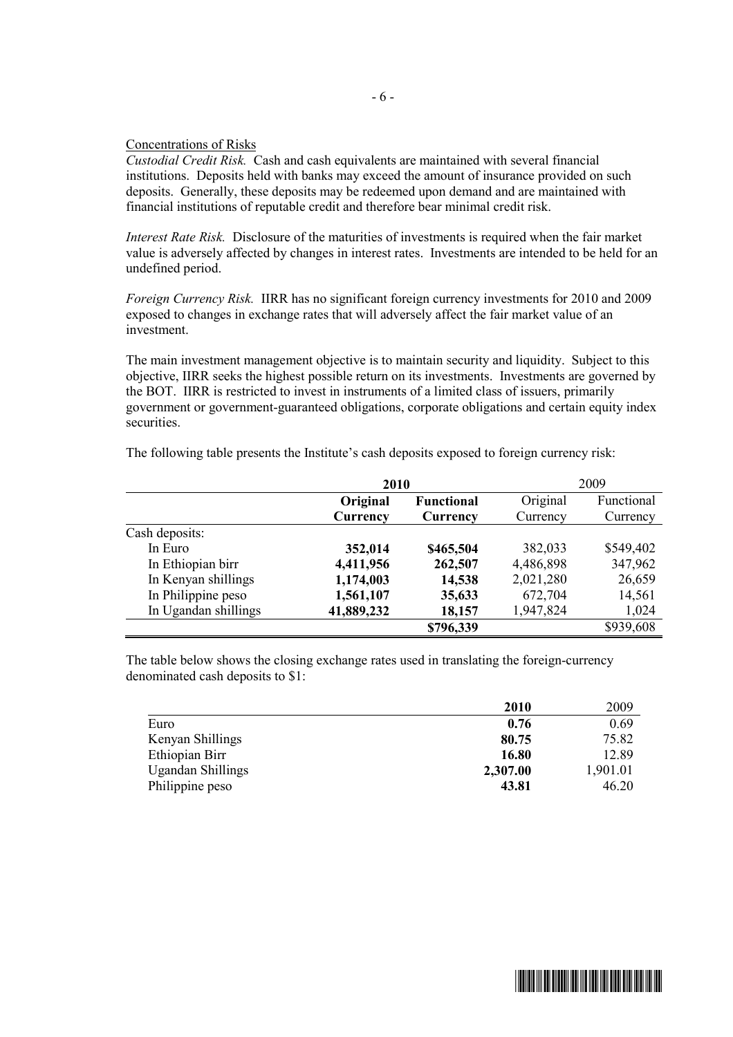#### Concentrations of Risks

*Custodial Credit Risk.* Cash and cash equivalents are maintained with several financial institutions. Deposits held with banks may exceed the amount of insurance provided on such deposits. Generally, these deposits may be redeemed upon demand and are maintained with financial institutions of reputable credit and therefore bear minimal credit risk.

*Interest Rate Risk.* Disclosure of the maturities of investments is required when the fair market value is adversely affected by changes in interest rates. Investments are intended to be held for an undefined period.

*Foreign Currency Risk.* IIRR has no significant foreign currency investments for 2010 and 2009 exposed to changes in exchange rates that will adversely affect the fair market value of an investment.

The main investment management objective is to maintain security and liquidity. Subject to this objective, IIRR seeks the highest possible return on its investments. Investments are governed by the BOT. IIRR is restricted to invest in instruments of a limited class of issuers, primarily government or government-guaranteed obligations, corporate obligations and certain equity index securities.

|                      | 2010       |                   |           | 2009       |
|----------------------|------------|-------------------|-----------|------------|
|                      | Original   | <b>Functional</b> | Original  | Functional |
|                      | Currency   | Currency          | Currency  | Currency   |
| Cash deposits:       |            |                   |           |            |
| In Euro              | 352,014    | \$465,504         | 382,033   | \$549,402  |
| In Ethiopian birr    | 4,411,956  | 262,507           | 4,486,898 | 347,962    |
| In Kenyan shillings  | 1,174,003  | 14,538            | 2,021,280 | 26,659     |
| In Philippine peso   | 1,561,107  | 35,633            | 672,704   | 14,561     |
| In Ugandan shillings | 41,889,232 | 18,157            | 1,947,824 | 1,024      |
|                      |            | \$796,339         |           | \$939,608  |

The following table presents the Institute's cash deposits exposed to foreign currency risk:

The table below shows the closing exchange rates used in translating the foreign-currency denominated cash deposits to \$1:

|                          | 2010     | 2009     |
|--------------------------|----------|----------|
| Euro                     | 0.76     | 0.69     |
| Kenyan Shillings         | 80.75    | 75.82    |
| Ethiopian Birr           | 16.80    | 12.89    |
| <b>Ugandan Shillings</b> | 2,307.00 | 1,901.01 |
| Philippine peso          | 43.81    | 46.20    |

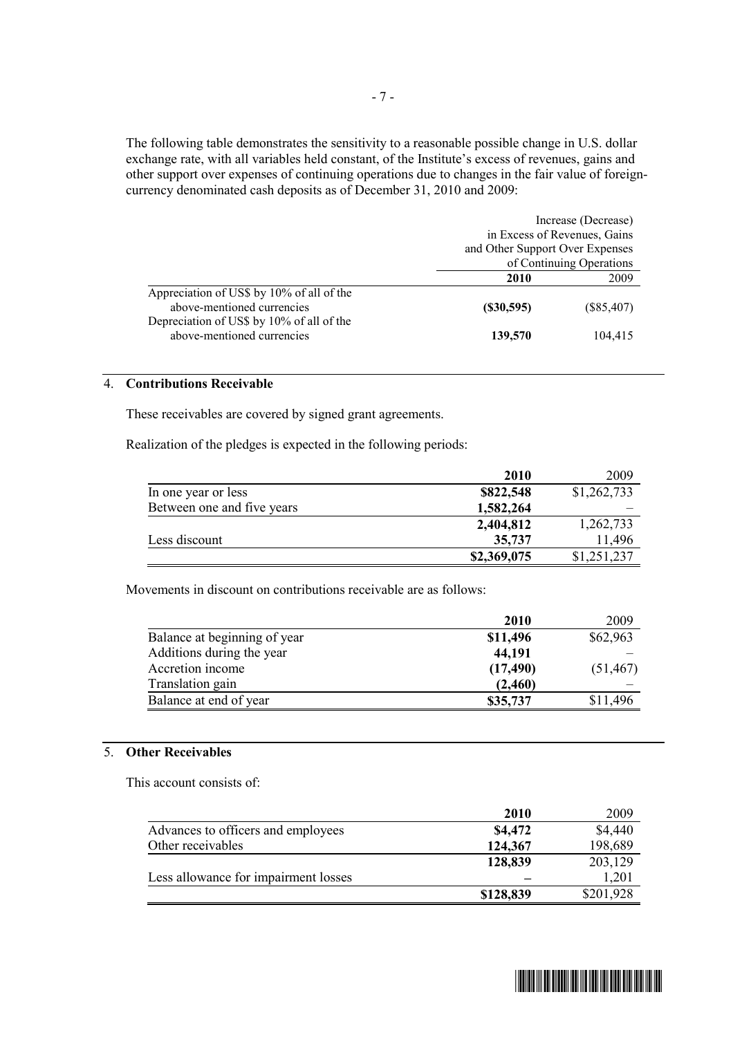The following table demonstrates the sensitivity to a reasonable possible change in U.S. dollar exchange rate, with all variables held constant, of the Institute's excess of revenues, gains and other support over expenses of continuing operations due to changes in the fair value of foreigncurrency denominated cash deposits as of December 31, 2010 and 2009:

|                                                                         | Increase (Decrease)             |              |  |
|-------------------------------------------------------------------------|---------------------------------|--------------|--|
|                                                                         | in Excess of Revenues, Gains    |              |  |
|                                                                         | and Other Support Over Expenses |              |  |
|                                                                         | of Continuing Operations        |              |  |
|                                                                         | 2010                            | 2009         |  |
| Appreciation of US\$ by 10% of all of the<br>above-mentioned currencies | (S30, 595)                      | $(\$85,407)$ |  |
| Depreciation of US\$ by 10% of all of the<br>above-mentioned currencies | 139,570                         | 104,415      |  |

### 4. **Contributions Receivable**

These receivables are covered by signed grant agreements.

Realization of the pledges is expected in the following periods:

|                            | <b>2010</b> | 2009        |
|----------------------------|-------------|-------------|
| In one year or less        | \$822,548   | \$1,262,733 |
| Between one and five years | 1,582,264   |             |
|                            | 2,404,812   | 1,262,733   |
| Less discount              | 35,737      | 11,496      |
|                            | \$2,369,075 | \$1,251,237 |

Movements in discount on contributions receivable are as follows:

|                              | <b>2010</b> | 2009      |
|------------------------------|-------------|-----------|
| Balance at beginning of year | \$11,496    | \$62,963  |
| Additions during the year    | 44,191      |           |
| Accretion income             | (17, 490)   | (51, 467) |
| Translation gain             | (2,460)     |           |
| Balance at end of year       | \$35,737    | \$11,496  |

#### 5. **Other Receivables**

This account consists of:

| 2010      | 2009      |
|-----------|-----------|
| \$4,472   | \$4,440   |
| 124,367   | 198,689   |
| 128,839   | 203,129   |
|           | 1,201     |
| \$128,839 | \$201,928 |
|           |           |

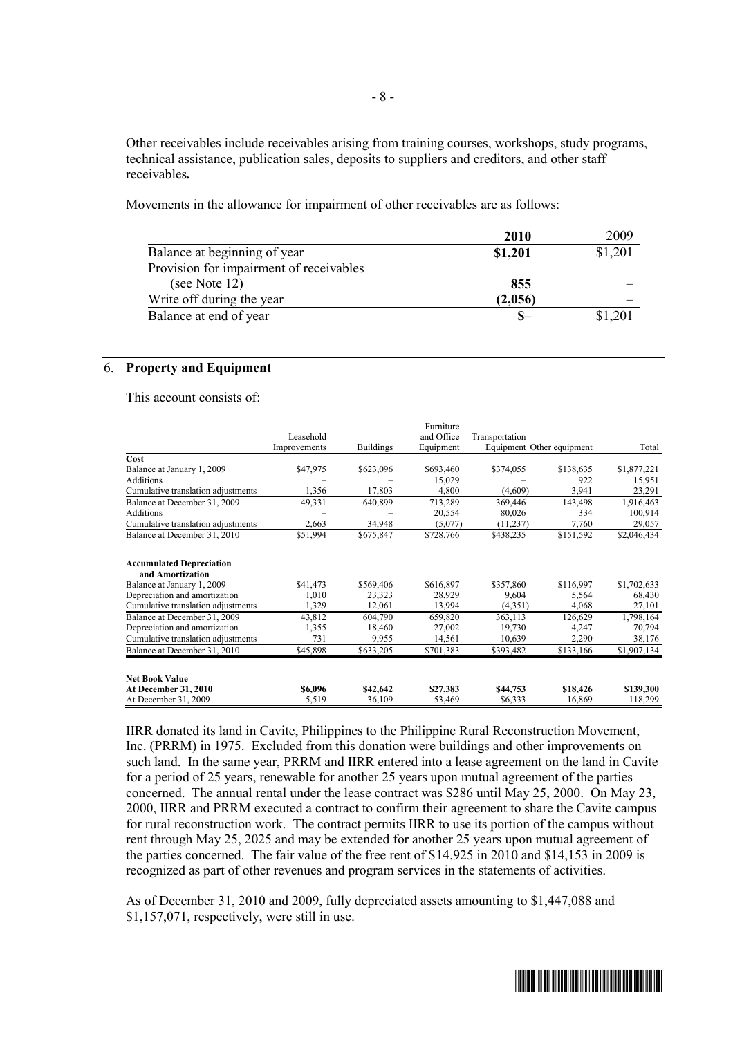Other receivables include receivables arising from training courses, workshops, study programs, technical assistance, publication sales, deposits to suppliers and creditors, and other staff receivables*.* 

Movements in the allowance for impairment of other receivables are as follows:

|                                         | 2010    | 2009    |
|-----------------------------------------|---------|---------|
| Balance at beginning of year            | \$1,201 | \$1,201 |
| Provision for impairment of receivables |         |         |
| (see Note 12)                           | 855     |         |
| Write off during the year               | (2,056) |         |
| Balance at end of year                  | $S-$    | \$1,201 |

#### 6. **Property and Equipment**

This account consists of:

|                                    |              |                  | Furniture  |                |                           |             |
|------------------------------------|--------------|------------------|------------|----------------|---------------------------|-------------|
|                                    | Leasehold    |                  | and Office | Transportation |                           |             |
|                                    | Improvements | <b>Buildings</b> | Equipment  |                | Equipment Other equipment | Total       |
| Cost                               |              |                  |            |                |                           |             |
| Balance at January 1, 2009         | \$47,975     | \$623,096        | \$693,460  | \$374,055      | \$138,635                 | \$1,877,221 |
| Additions                          |              |                  | 15,029     |                | 922                       | 15,951      |
| Cumulative translation adjustments | 1,356        | 17,803           | 4,800      | (4,609)        | 3,941                     | 23,291      |
| Balance at December 31, 2009       | 49,331       | 640,899          | 713,289    | 369,446        | 143,498                   | 1,916,463   |
| <b>Additions</b>                   |              |                  | 20,554     | 80,026         | 334                       | 100,914     |
| Cumulative translation adjustments | 2,663        | 34,948           | (5,077)    | (11, 237)      | 7,760                     | 29,057      |
| Balance at December 31, 2010       | \$51,994     | \$675,847        | \$728,766  | \$438,235      | \$151,592                 | \$2,046,434 |
|                                    |              |                  |            |                |                           |             |
| <b>Accumulated Depreciation</b>    |              |                  |            |                |                           |             |
| and Amortization                   |              |                  |            |                | \$116,997                 |             |
| Balance at January 1, 2009         | \$41,473     | \$569,406        | \$616,897  | \$357,860      |                           | \$1,702,633 |
| Depreciation and amortization      | 1,010        | 23,323           | 28,929     | 9,604          | 5,564                     | 68,430      |
| Cumulative translation adjustments | 1,329        | 12,061           | 13,994     | (4,351)        | 4,068                     | 27,101      |
| Balance at December 31, 2009       | 43,812       | 604,790          | 659,820    | 363,113        | 126,629                   | 1,798,164   |
| Depreciation and amortization      | 1,355        | 18,460           | 27,002     | 19,730         | 4,247                     | 70,794      |
| Cumulative translation adjustments | 731          | 9,955            | 14,561     | 10,639         | 2,290                     | 38,176      |
| Balance at December 31, 2010       | \$45,898     | \$633,205        | \$701,383  | \$393,482      | \$133,166                 | \$1,907,134 |
|                                    |              |                  |            |                |                           |             |
| <b>Net Book Value</b>              |              |                  |            |                |                           |             |
| <b>At December 31, 2010</b>        | \$6,096      | \$42,642         | \$27,383   | \$44,753       | \$18,426                  | \$139,300   |
| At December 31, 2009               | 5,519        | 36,109           | 53,469     | \$6,333        | 16,869                    | 118,299     |

IIRR donated its land in Cavite, Philippines to the Philippine Rural Reconstruction Movement, Inc. (PRRM) in 1975. Excluded from this donation were buildings and other improvements on such land. In the same year, PRRM and IIRR entered into a lease agreement on the land in Cavite for a period of 25 years, renewable for another 25 years upon mutual agreement of the parties concerned. The annual rental under the lease contract was \$286 until May 25, 2000. On May 23, 2000, IIRR and PRRM executed a contract to confirm their agreement to share the Cavite campus for rural reconstruction work. The contract permits IIRR to use its portion of the campus without rent through May 25, 2025 and may be extended for another 25 years upon mutual agreement of the parties concerned. The fair value of the free rent of \$14,925 in 2010 and \$14,153 in 2009 is recognized as part of other revenues and program services in the statements of activities.

As of December 31, 2010 and 2009, fully depreciated assets amounting to \$1,447,088 and \$1,157,071, respectively, were still in use.

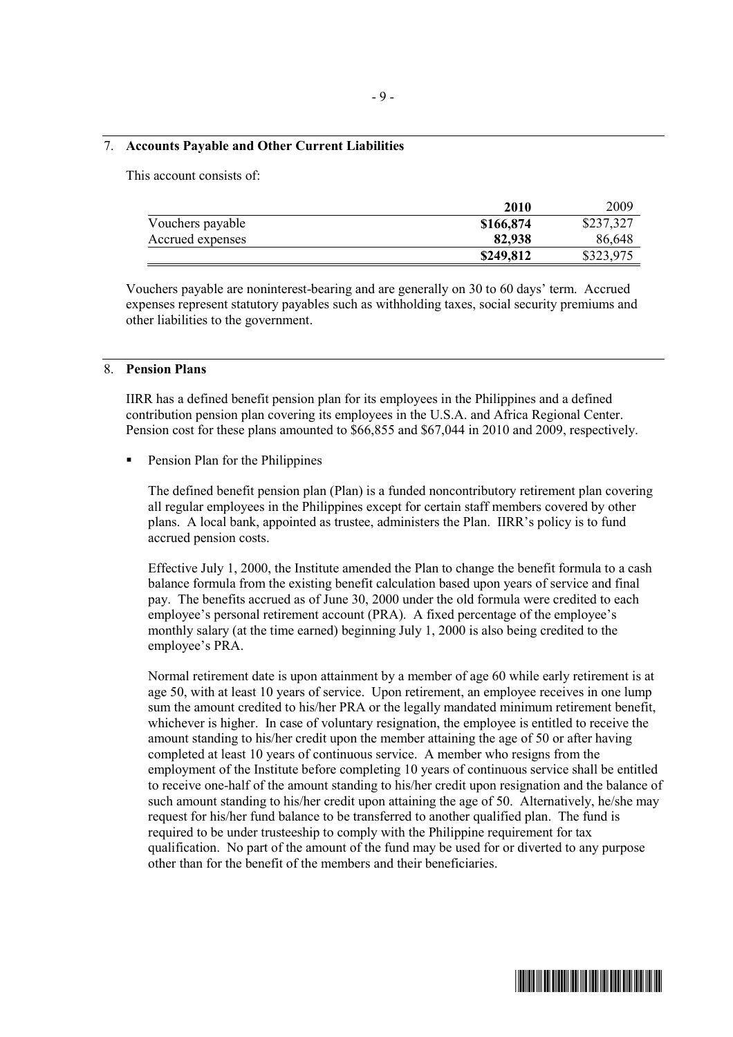#### 7. **Accounts Payable and Other Current Liabilities**

This account consists of:

|                  | 2010      | 2009      |
|------------------|-----------|-----------|
| Vouchers payable | \$166,874 | \$237,327 |
| Accrued expenses | 82,938    | 86,648    |
|                  | \$249,812 | \$323,975 |

Vouchers payable are noninterest-bearing and are generally on 30 to 60 days' term. Accrued expenses represent statutory payables such as withholding taxes, social security premiums and other liabilities to the government.

#### 8. **Pension Plans**

IIRR has a defined benefit pension plan for its employees in the Philippines and a defined contribution pension plan covering its employees in the U.S.A. and Africa Regional Center. Pension cost for these plans amounted to \$66,855 and \$67,044 in 2010 and 2009, respectively.

ß Pension Plan for the Philippines

The defined benefit pension plan (Plan) is a funded noncontributory retirement plan covering all regular employees in the Philippines except for certain staff members covered by other plans. A local bank, appointed as trustee, administers the Plan. IIRR's policy is to fund accrued pension costs.

Effective July 1, 2000, the Institute amended the Plan to change the benefit formula to a cash balance formula from the existing benefit calculation based upon years of service and final pay. The benefits accrued as of June 30, 2000 under the old formula were credited to each employee's personal retirement account (PRA). A fixed percentage of the employee's monthly salary (at the time earned) beginning July 1, 2000 is also being credited to the employee's PRA.

Normal retirement date is upon attainment by a member of age 60 while early retirement is at age 50, with at least 10 years of service. Upon retirement, an employee receives in one lump sum the amount credited to his/her PRA or the legally mandated minimum retirement benefit, whichever is higher. In case of voluntary resignation, the employee is entitled to receive the amount standing to his/her credit upon the member attaining the age of 50 or after having completed at least 10 years of continuous service. A member who resigns from the employment of the Institute before completing 10 years of continuous service shall be entitled to receive one-half of the amount standing to his/her credit upon resignation and the balance of such amount standing to his/her credit upon attaining the age of 50. Alternatively, he/she may request for his/her fund balance to be transferred to another qualified plan. The fund is required to be under trusteeship to comply with the Philippine requirement for tax qualification. No part of the amount of the fund may be used for or diverted to any purpose other than for the benefit of the members and their beneficiaries.

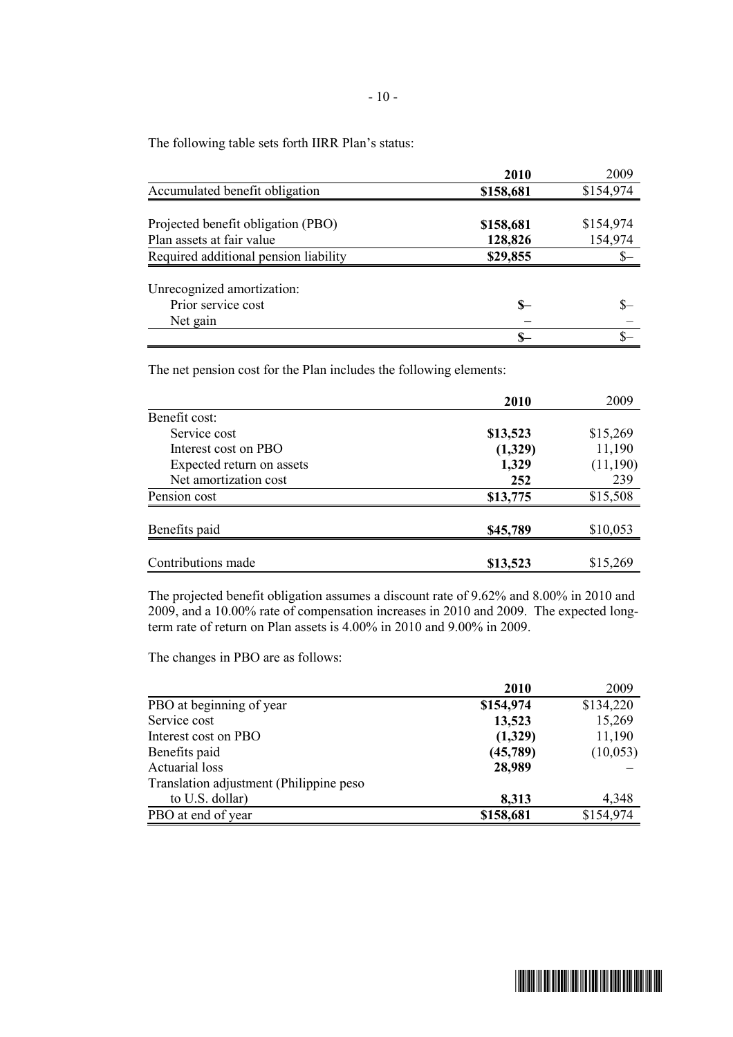The following table sets forth IIRR Plan's status:

|                                       | 2010      | 2009      |
|---------------------------------------|-----------|-----------|
| Accumulated benefit obligation        | \$158,681 | \$154,974 |
|                                       |           |           |
| Projected benefit obligation (PBO)    | \$158,681 | \$154,974 |
| Plan assets at fair value             | 128,826   | 154,974   |
| Required additional pension liability | \$29,855  | S-        |
|                                       |           |           |
| Unrecognized amortization:            |           |           |
| Prior service cost                    | \$—       |           |
| Net gain                              |           |           |
|                                       |           |           |

The net pension cost for the Plan includes the following elements:

|                           | 2010     | 2009     |
|---------------------------|----------|----------|
| Benefit cost:             |          |          |
| Service cost              | \$13,523 | \$15,269 |
| Interest cost on PBO      | (1,329)  | 11,190   |
| Expected return on assets | 1,329    | (11,190) |
| Net amortization cost     | 252      | 239      |
| Pension cost              | \$13,775 | \$15,508 |
| Benefits paid             | \$45,789 | \$10,053 |
|                           |          |          |
| Contributions made        | \$13,523 | \$15,269 |

The projected benefit obligation assumes a discount rate of 9.62% and 8.00% in 2010 and 2009, and a 10.00% rate of compensation increases in 2010 and 2009. The expected longterm rate of return on Plan assets is 4.00% in 2010 and 9.00% in 2009.

The changes in PBO are as follows:

|                                         | 2010      | 2009      |
|-----------------------------------------|-----------|-----------|
| PBO at beginning of year                | \$154,974 | \$134,220 |
| Service cost                            | 13,523    | 15,269    |
| Interest cost on PBO                    | (1,329)   | 11,190    |
| Benefits paid                           | (45,789)  | (10, 053) |
| <b>Actuarial</b> loss                   | 28,989    |           |
| Translation adjustment (Philippine peso |           |           |
| to U.S. dollar)                         | 8,313     | 4,348     |
| PBO at end of year                      | \$158,681 | \$154,974 |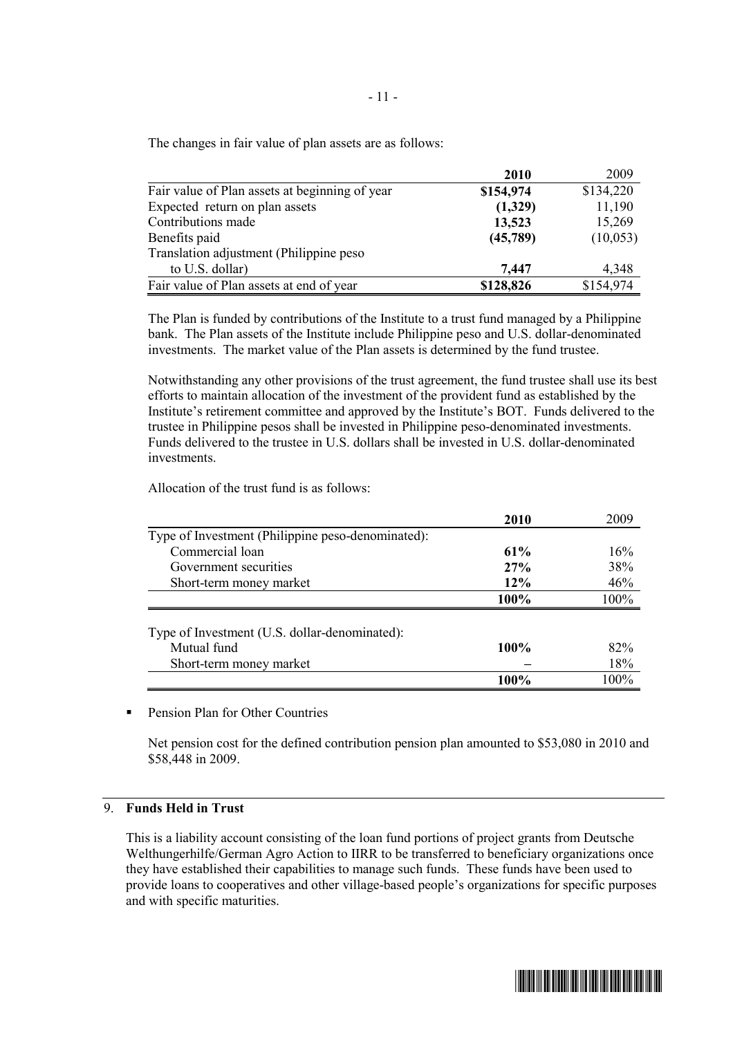The changes in fair value of plan assets are as follows:

|                                                | <b>2010</b> | 2009      |
|------------------------------------------------|-------------|-----------|
| Fair value of Plan assets at beginning of year | \$154,974   | \$134,220 |
| Expected return on plan assets                 | (1,329)     | 11,190    |
| Contributions made                             | 13,523      | 15,269    |
| Benefits paid                                  | (45,789)    | (10,053)  |
| Translation adjustment (Philippine peso        |             |           |
| to U.S. dollar)                                | 7,447       | 4,348     |
| Fair value of Plan assets at end of year       | \$128,826   | \$154,974 |

The Plan is funded by contributions of the Institute to a trust fund managed by a Philippine bank. The Plan assets of the Institute include Philippine peso and U.S. dollar-denominated investments. The market value of the Plan assets is determined by the fund trustee.

Notwithstanding any other provisions of the trust agreement, the fund trustee shall use its best efforts to maintain allocation of the investment of the provident fund as established by the Institute's retirement committee and approved by the Institute's BOT. Funds delivered to the trustee in Philippine pesos shall be invested in Philippine peso-denominated investments. Funds delivered to the trustee in U.S. dollars shall be invested in U.S. dollar-denominated investments.

Allocation of the trust fund is as follows:

|                                                   | 2010   | 2009 |
|---------------------------------------------------|--------|------|
| Type of Investment (Philippine peso-denominated): |        |      |
| Commercial loan                                   | 61%    | 16%  |
| Government securities                             | 27%    | 38%  |
| Short-term money market                           | $12\%$ | 46%  |
|                                                   | 100%   | 100% |
|                                                   |        |      |
| Type of Investment (U.S. dollar-denominated):     |        |      |
| Mutual fund                                       | 100%   | 82%  |
| Short-term money market                           |        | 18%  |
|                                                   | 100%   | 100% |

ß Pension Plan for Other Countries

Net pension cost for the defined contribution pension plan amounted to \$53,080 in 2010 and \$58,448 in 2009.

#### 9. **Funds Held in Trust**

This is a liability account consisting of the loan fund portions of project grants from Deutsche Welthungerhilfe/German Agro Action to IIRR to be transferred to beneficiary organizations once they have established their capabilities to manage such funds. These funds have been used to provide loans to cooperatives and other village-based people's organizations for specific purposes and with specific maturities.

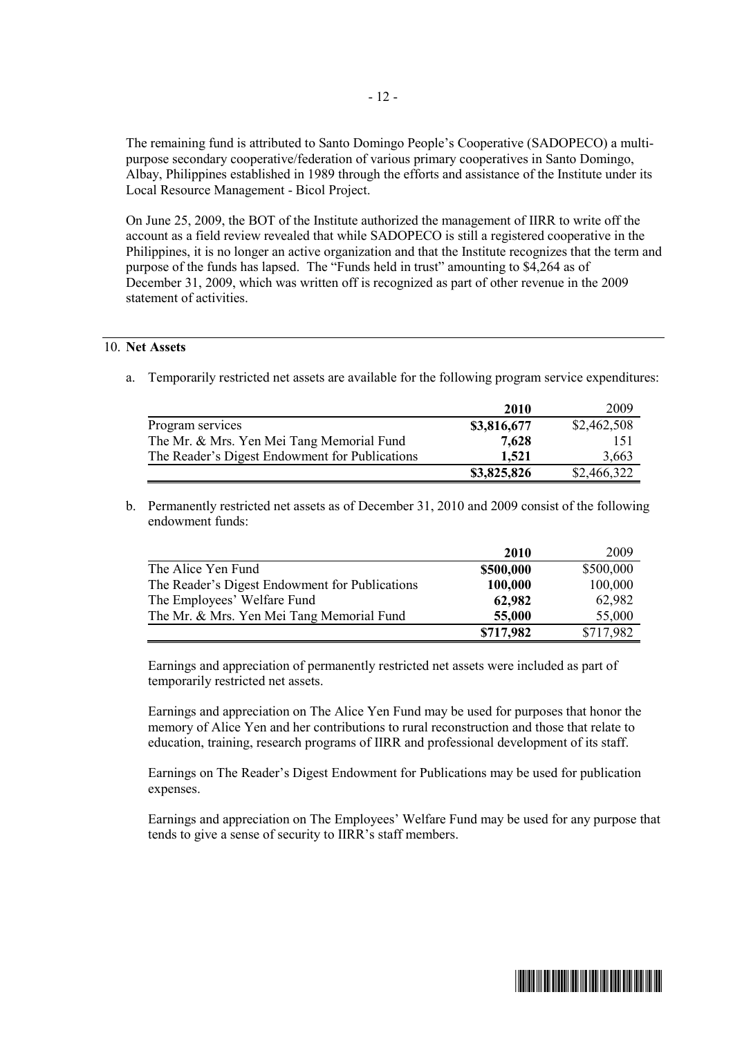The remaining fund is attributed to Santo Domingo People's Cooperative (SADOPECO) a multipurpose secondary cooperative/federation of various primary cooperatives in Santo Domingo, Albay, Philippines established in 1989 through the efforts and assistance of the Institute under its Local Resource Management - Bicol Project.

On June 25, 2009, the BOT of the Institute authorized the management of IIRR to write off the account as a field review revealed that while SADOPECO is still a registered cooperative in the Philippines, it is no longer an active organization and that the Institute recognizes that the term and purpose of the funds has lapsed. The "Funds held in trust" amounting to \$4,264 as of December 31, 2009, which was written off is recognized as part of other revenue in the 2009 statement of activities.

## 10. **Net Assets**

a. Temporarily restricted net assets are available for the following program service expenditures:

|                                                | 2010        | 2009        |
|------------------------------------------------|-------------|-------------|
| Program services                               | \$3,816,677 | \$2,462,508 |
| The Mr. & Mrs. Yen Mei Tang Memorial Fund      | 7,628       | 151         |
| The Reader's Digest Endowment for Publications | 1,521       | 3,663       |
|                                                | \$3,825,826 | \$2,466,322 |

b. Permanently restricted net assets as of December 31, 2010 and 2009 consist of the following endowment funds:

|                                                | 2010      | 2009      |
|------------------------------------------------|-----------|-----------|
| The Alice Yen Fund                             | \$500,000 | \$500,000 |
| The Reader's Digest Endowment for Publications | 100,000   | 100,000   |
| The Employees' Welfare Fund                    | 62,982    | 62,982    |
| The Mr. & Mrs. Yen Mei Tang Memorial Fund      | 55,000    | 55,000    |
|                                                | \$717,982 | \$717,982 |

Earnings and appreciation of permanently restricted net assets were included as part of temporarily restricted net assets.

Earnings and appreciation on The Alice Yen Fund may be used for purposes that honor the memory of Alice Yen and her contributions to rural reconstruction and those that relate to education, training, research programs of IIRR and professional development of its staff.

Earnings on The Reader's Digest Endowment for Publications may be used for publication expenses.

Earnings and appreciation on The Employees' Welfare Fund may be used for any purpose that tends to give a sense of security to IIRR's staff members.

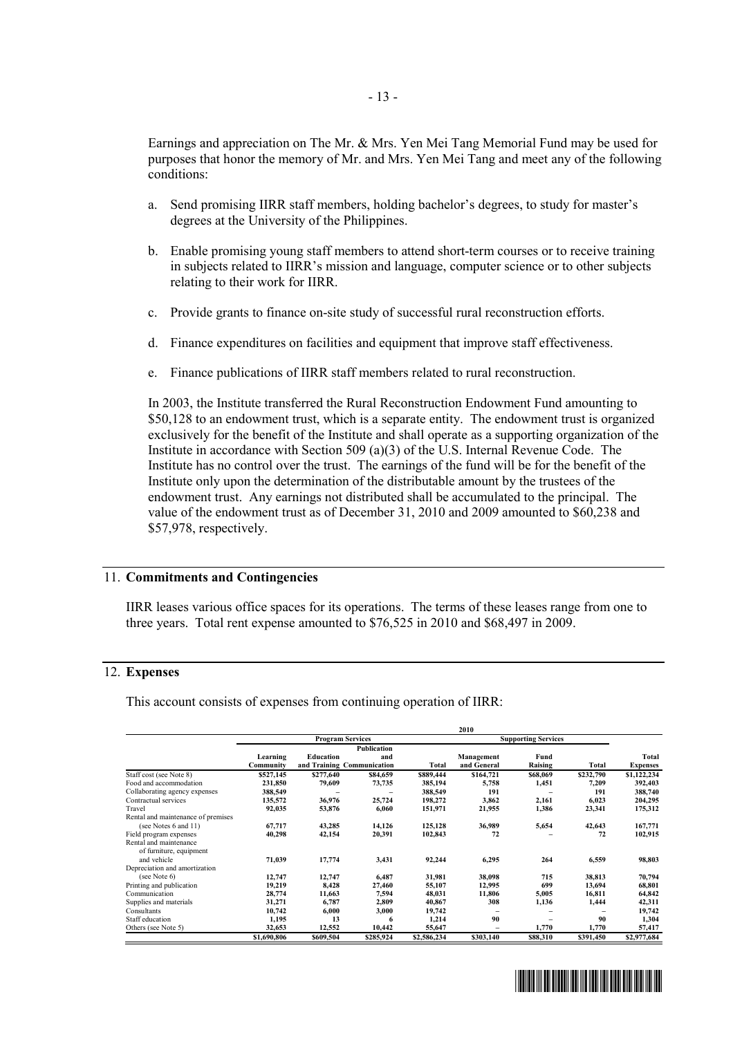Earnings and appreciation on The Mr. & Mrs. Yen Mei Tang Memorial Fund may be used for purposes that honor the memory of Mr. and Mrs. Yen Mei Tang and meet any of the following conditions:

- a. Send promising IIRR staff members, holding bachelor's degrees, to study for master's degrees at the University of the Philippines.
- b. Enable promising young staff members to attend short-term courses or to receive training in subjects related to IIRR's mission and language, computer science or to other subjects relating to their work for IIRR.
- c. Provide grants to finance on-site study of successful rural reconstruction efforts.
- d. Finance expenditures on facilities and equipment that improve staff effectiveness.
- e. Finance publications of IIRR staff members related to rural reconstruction.

In 2003, the Institute transferred the Rural Reconstruction Endowment Fund amounting to \$50,128 to an endowment trust, which is a separate entity. The endowment trust is organized exclusively for the benefit of the Institute and shall operate as a supporting organization of the Institute in accordance with Section 509 (a)(3) of the U.S. Internal Revenue Code. The Institute has no control over the trust.The earnings of the fund will be for the benefit of the Institute only upon the determination of the distributable amount by the trustees of the endowment trust. Any earnings not distributed shall be accumulated to the principal.The value of the endowment trust as of December 31, 2010 and 2009 amounted to \$60,238 and \$57,978, respectively.

#### 11. **Commitments and Contingencies**

IIRR leases various office spaces for its operations. The terms of these leases range from one to three years. Total rent expense amounted to \$76,525 in 2010 and \$68,497 in 2009.

## 12. **Expenses**

This account consists of expenses from continuing operation of IIRR:

|                                    | 2010                    |                  |                            |              |                            |          |           |                 |  |
|------------------------------------|-------------------------|------------------|----------------------------|--------------|----------------------------|----------|-----------|-----------------|--|
|                                    | <b>Program Services</b> |                  |                            |              | <b>Supporting Services</b> |          |           |                 |  |
|                                    |                         |                  | Publication                |              |                            |          |           |                 |  |
|                                    | Learning                | <b>Education</b> | and                        |              | Management                 | Fund     |           | Total           |  |
|                                    | Community               |                  | and Training Communication | <b>Total</b> | and General                | Raising  | Total     | <b>Expenses</b> |  |
| Staff cost (see Note 8)            | \$527,145               | \$277,640        | \$84,659                   | \$889,444    | \$164,721                  | \$68,069 | \$232,790 | \$1,122,234     |  |
| Food and accommodation             | 231,850                 | 79,609           | 73,735                     | 385,194      | 5,758                      | 1,451    | 7,209     | 392,403         |  |
| Collaborating agency expenses      | 388,549                 |                  |                            | 388,549      | 191                        |          | 191       | 388,740         |  |
| Contractual services               | 135,572                 | 36,976           | 25,724                     | 198,272      | 3,862                      | 2,161    | 6,023     | 204,295         |  |
| Travel                             | 92,035                  | 53,876           | 6.060                      | 151,971      | 21,955                     | 1,386    | 23,341    | 175,312         |  |
| Rental and maintenance of premises |                         |                  |                            |              |                            |          |           |                 |  |
| (see Notes 6 and 11)               | 67,717                  | 43,285           | 14,126                     | 125,128      | 36,989                     | 5,654    | 42,643    | 167,771         |  |
| Field program expenses             | 40,298                  | 42,154           | 20,391                     | 102,843      | 72                         |          | 72        | 102,915         |  |
| Rental and maintenance             |                         |                  |                            |              |                            |          |           |                 |  |
| of furniture, equipment            |                         |                  |                            |              |                            |          |           |                 |  |
| and vehicle                        | 71,039                  | 17,774           | 3,431                      | 92,244       | 6,295                      | 264      | 6,559     | 98,803          |  |
| Depreciation and amortization      |                         |                  |                            |              |                            |          |           |                 |  |
| (see Note 6)                       | 12,747                  | 12,747           | 6,487                      | 31,981       | 38,098                     | 715      | 38,813    | 70,794          |  |
| Printing and publication           | 19,219                  | 8,428            | 27,460                     | 55,107       | 12,995                     | 699      | 13,694    | 68,801          |  |
| Communication                      | 28,774                  | 11,663           | 7,594                      | 48,031       | 11,806                     | 5,005    | 16,811    | 64,842          |  |
| Supplies and materials             | 31,271                  | 6,787            | 2,809                      | 40,867       | 308                        | 1,136    | 1,444     | 42,311          |  |
| Consultants                        | 10,742                  | 6,000            | 3,000                      | 19,742       |                            |          |           | 19,742          |  |
| Staff education                    | 1,195                   | 13               | 6                          | 1,214        | 90                         |          | 90        | 1,304           |  |
| Others (see Note 5)                | 32,653                  | 12,552           | 10,442                     | 55,647       |                            | 1,770    | 1,770     | 57,417          |  |
|                                    | \$1,690,806             | \$609,504        | \$285,924                  | \$2,586,234  | \$303.140                  | \$88,310 | \$391,450 | \$2,977,684     |  |